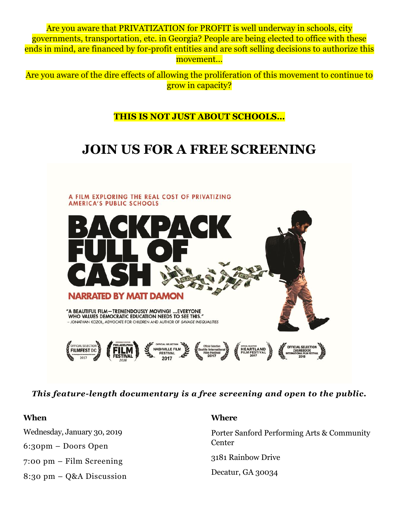Are you aware that PRIVATIZATION for PROFIT is well underway in schools, city governments, transportation, etc. in Georgia? People are being elected to office with these ends in mind, are financed by for-profit entities and are soft selling decisions to authorize this movement...

Are you aware of the dire effects of allowing the proliferation of this movement to continue to grow in capacity?

## **THIS IS NOT JUST ABOUT SCHOOLS…**

## **JOIN US FOR A FREE SCREENING**



*This feature-length documentary is a free screening and open to the public.* 

| When                                       | <b>Where</b>                                         |
|--------------------------------------------|------------------------------------------------------|
| Wednesday, January 30, 2019                | Porter Sanford Performing Arts & Community<br>Center |
| $6:30 \text{pm} - \text{D}$ oors Open      |                                                      |
| $7:00 \text{ pm}$ – Film Screening         | 3181 Rainbow Drive                                   |
| $8:30 \text{ pm} - Q&A \text{ Discussion}$ | Decatur, GA 30034                                    |